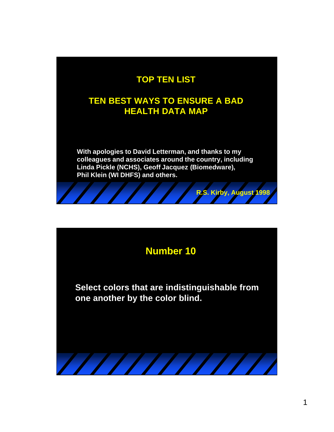#### **TOP TEN LIST**

#### **TEN BEST WAYS TO ENSURE A BAD HEALTH DATA MAP**

**With apologies to David Letterman, and thanks to my colleagues and associates around the country, including Linda Pickle (NCHS), Geoff Jacquez (Biomedware), Phil Klein (WI DHFS) and others.**

**R.S. Kirby, August 1998**



**Select colors that are indistinguishable from one another by the color blind.**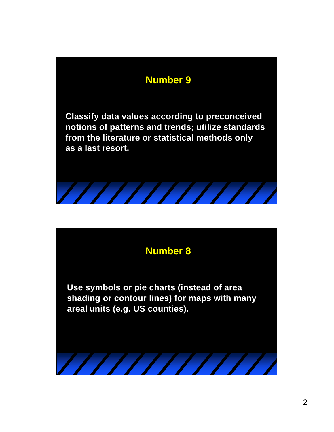**Classify data values according to preconceived notions of patterns and trends; utilize standards from the literature or statistical methods only as a last resort.**



### **Number 8**

**Use symbols or pie charts (instead of area shading or contour lines) for maps with many areal units (e.g. US counties).**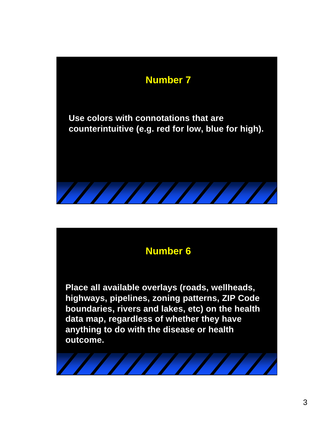

**Place all available overlays (roads, wellheads, highways, pipelines, zoning patterns, ZIP Code boundaries, rivers and lakes, etc) on the health data map, regardless of whether they have anything to do with the disease or health outcome.**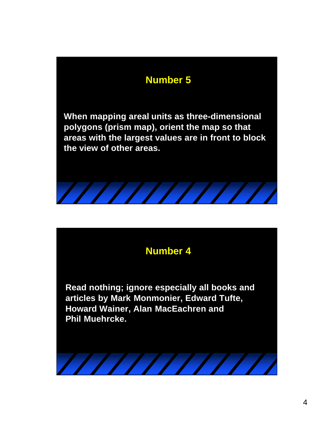**When mapping areal units as three-dimensional polygons (prism map), orient the map so that areas with the largest values are in front to block the view of other areas.**



### **Number 4**

**Read nothing; ignore especially all books and articles by Mark Monmonier, Edward Tufte, Howard Wainer, Alan MacEachren and Phil Muehrcke.**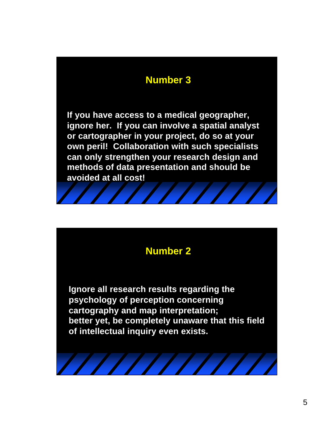**If you have access to a medical geographer, ignore her. If you can involve a spatial analyst or cartographer in your project, do so at your own peril! Collaboration with such specialists can only strengthen your research design and methods of data presentation and should be avoided at all cost!**

#### **Number 2**

**Ignore all research results regarding the psychology of perception concerning cartography and map interpretation; better yet, be completely unaware that this field of intellectual inquiry even exists.**